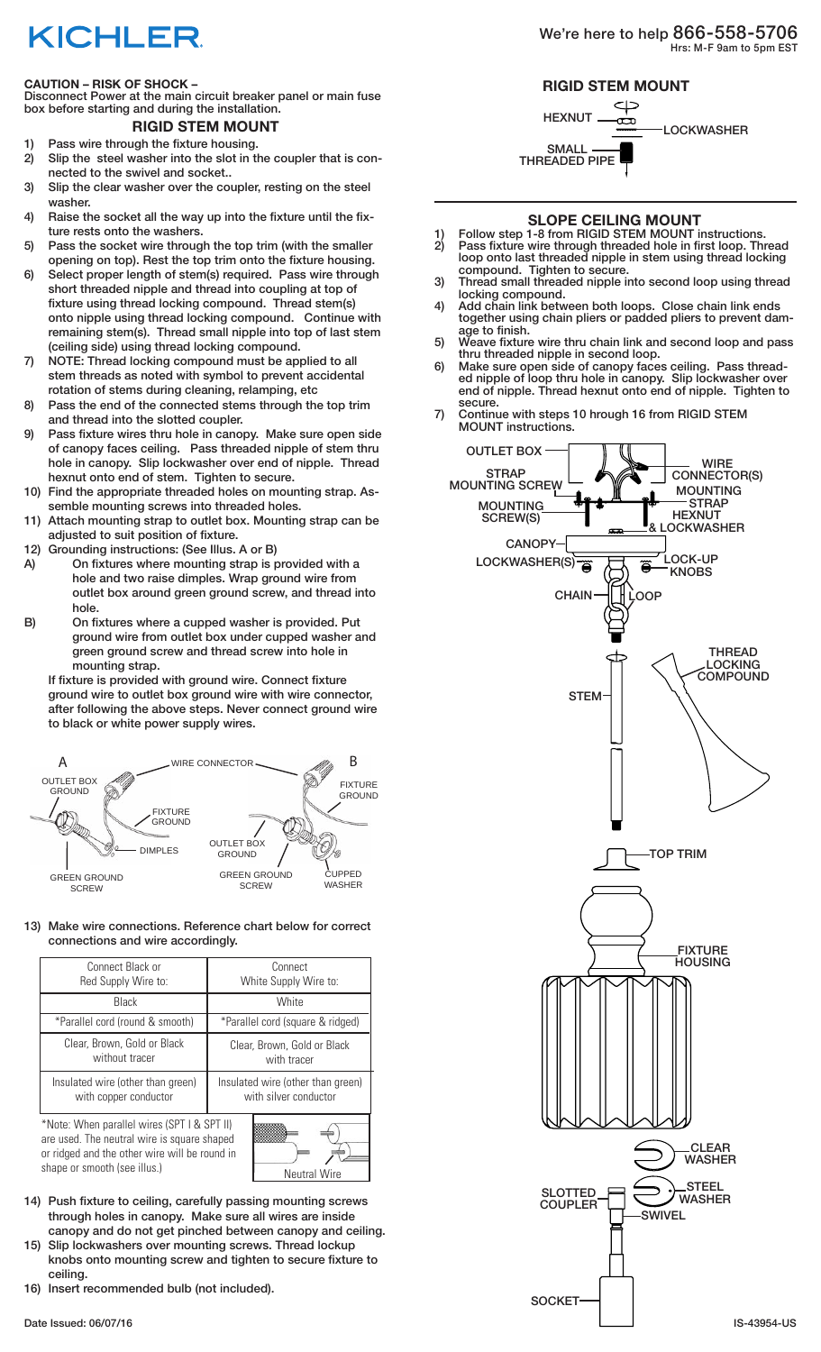## **KICHLER**

### **CAUTION – RISK OF SHOCK –**

Disconnect Power at the main circuit breaker panel or main fuse box before starting and during the installation.

## **RIGID STEM MOUNT**

- 1) Pass wire through the fixture housing. 2) Slip the steel washer into the slot in the coupler that is con-
- nected to the swivel and socket.. 3) Slip the clear washer over the coupler, resting on the steel washer.
- 4) Raise the socket all the way up into the fixture until the fixture rests onto the washers.
- 5) Pass the socket wire through the top trim (with the smaller opening on top). Rest the top trim onto the fixture housing.
- 6) Select proper length of stem(s) required. Pass wire through short threaded nipple and thread into coupling at top of fixture using thread locking compound. Thread stem(s) onto nipple using thread locking compound. Continue with remaining stem(s). Thread small nipple into top of last stem (ceiling side) using thread locking compound.
- 7) NOTE: Thread locking compound must be applied to all stem threads as noted with symbol to prevent accidental rotation of stems during cleaning, relamping, etc
- 8) Pass the end of the connected stems through the top trim and thread into the slotted coupler.
- 9) Pass fixture wires thru hole in canopy. Make sure open side of canopy faces ceiling. Pass threaded nipple of stem thru hole in canopy. Slip lockwasher over end of nipple. Thread hexnut onto end of stem. Tighten to secure.
- 10) Find the appropriate threaded holes on mounting strap. Assemble mounting screws into threaded holes.
- 11) Attach mounting strap to outlet box. Mounting strap can be adjusted to suit position of fixture.
- 12) Grounding instructions: (See Illus. A or B)
- A) On fixtures where mounting strap is provided with a hole and two raise dimples. Wrap ground wire from outlet box around green ground screw, and thread into hole.
- B) On fixtures where a cupped washer is provided. Put ground wire from outlet box under cupped washer and green ground screw and thread screw into hole in mounting strap.

If fixture is provided with ground wire. Connect fixture ground wire to outlet box ground wire with wire connector, after following the above steps. Never connect ground wire to black or white power supply wires.



13) Make wire connections. Reference chart below for correct connections and wire accordingly.

| Connect Black or<br>Red Supply Wire to:                                                                                                                                                            | Connect<br>White Supply Wire to:                           |
|----------------------------------------------------------------------------------------------------------------------------------------------------------------------------------------------------|------------------------------------------------------------|
| <b>Black</b>                                                                                                                                                                                       | <b>White</b>                                               |
| *Parallel cord (round & smooth)                                                                                                                                                                    | *Parallel cord (square & ridged)                           |
| Clear, Brown, Gold or Black<br>without tracer                                                                                                                                                      | Clear, Brown, Gold or Black<br>with tracer                 |
| Insulated wire (other than green)<br>with copper conductor                                                                                                                                         | Insulated wire (other than green)<br>with silver conductor |
| *Note: When parallel wires (SPT I & SPT II)<br>are used. The neutral wire is square shaped<br>or ridged and the other wire will be round in<br>shape or smooth (see illus.)<br><b>Neutral Wire</b> |                                                            |

- 14) Push fixture to ceiling, carefully passing mounting screws through holes in canopy. Make sure all wires are inside canopy and do not get pinched between canopy and ceiling.
- 15) Slip lockwashers over mounting screws. Thread lockup knobs onto mounting screw and tighten to secure fixture to ceiling.
- 16) Insert recommended bulb (not included).





## **SLOPE CEILING MOUNT**

- 1) Follow step 1-8 from RIGID STEM MOUNT instructions.<br>2) Pass fixture wire through threaded hole in first loop. The 2) Pass fixture wire through threaded hole in first loop. Thread loop onto last threaded nipple in stem using thread locking compound. Tighten to secure.
- 3) Thread small threaded nipple into second loop using thread locking compound.
- 4) Add chain link between both loops. Close chain link ends together using chain pliers or padded pliers to prevent damage to finish.
- 5) Weave fixture wire thru chain link and second loop and pass thru threaded nipple in second loop.
- 6) Make sure open side of canopy faces ceiling. Pass threaded nipple of loop thru hole in canopy. Slip lockwasher over end of nipple. Thread hexnut onto end of nipple. Tighten to secure.
- 7) Continue with steps 10 hrough 16 from RIGID STEM MOUNT instructions.